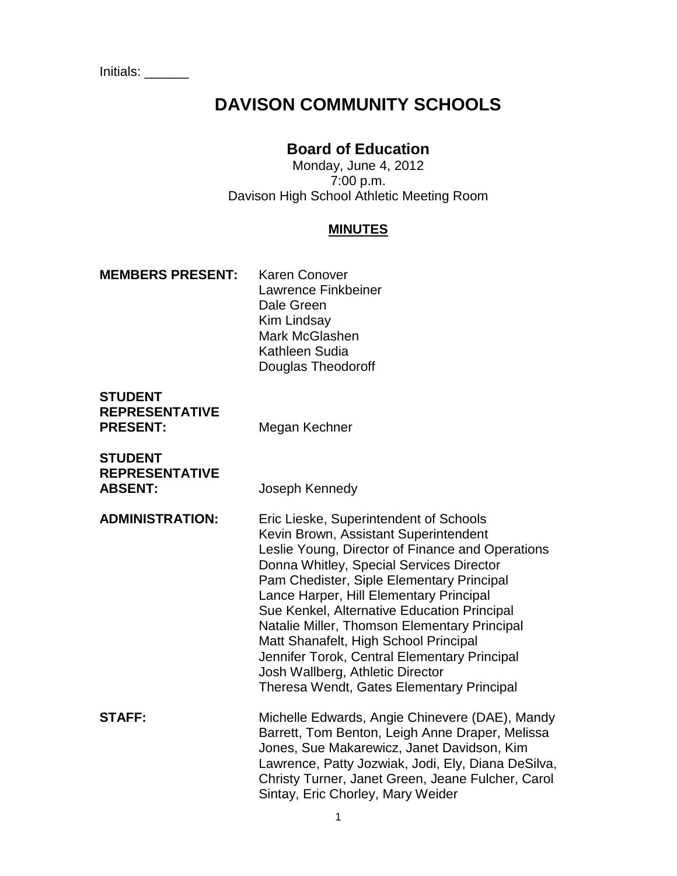Initials: \_\_\_\_\_\_

# **DAVISON COMMUNITY SCHOOLS**

# **Board of Education**

Monday, June 4, 2012 7:00 p.m. Davison High School Athletic Meeting Room

### **MINUTES**

#### **MEMBERS PRESENT:** Karen Conover

Lawrence Finkbeiner Dale Green Kim Lindsay Mark McGlashen Kathleen Sudia Douglas Theodoroff

# **STUDENT REPRESENTATIVE PRESENT:** Megan Kechner

**STUDENT REPRESENTATIVE ABSENT:** Joseph Kennedy

- **ADMINISTRATION:** Eric Lieske, Superintendent of Schools Kevin Brown, Assistant Superintendent Leslie Young, Director of Finance and Operations Donna Whitley, Special Services Director Pam Chedister, Siple Elementary Principal Lance Harper, Hill Elementary Principal Sue Kenkel, Alternative Education Principal Natalie Miller, Thomson Elementary Principal Matt Shanafelt, High School Principal Jennifer Torok, Central Elementary Principal Josh Wallberg, Athletic Director Theresa Wendt, Gates Elementary Principal **STAFF:** Michelle Edwards, Angie Chinevere (DAE), Mandy
	- Barrett, Tom Benton, Leigh Anne Draper, Melissa Jones, Sue Makarewicz, Janet Davidson, Kim Lawrence, Patty Jozwiak, Jodi, Ely, Diana DeSilva, Christy Turner, Janet Green, Jeane Fulcher, Carol Sintay, Eric Chorley, Mary Weider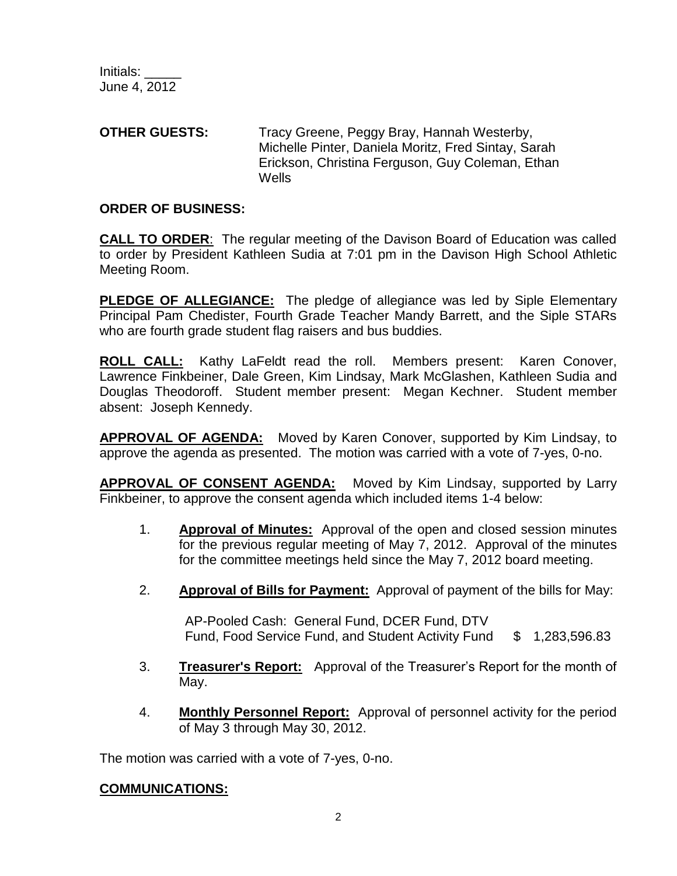### **OTHER GUESTS:** Tracy Greene, Peggy Bray, Hannah Westerby, Michelle Pinter, Daniela Moritz, Fred Sintay, Sarah Erickson, Christina Ferguson, Guy Coleman, Ethan **Wells**

# **ORDER OF BUSINESS:**

**CALL TO ORDER**: The regular meeting of the Davison Board of Education was called to order by President Kathleen Sudia at 7:01 pm in the Davison High School Athletic Meeting Room.

**PLEDGE OF ALLEGIANCE:** The pledge of allegiance was led by Siple Elementary Principal Pam Chedister, Fourth Grade Teacher Mandy Barrett, and the Siple STARs who are fourth grade student flag raisers and bus buddies.

**ROLL CALL:** Kathy LaFeldt read the roll. Members present: Karen Conover, Lawrence Finkbeiner, Dale Green, Kim Lindsay, Mark McGlashen, Kathleen Sudia and Douglas Theodoroff. Student member present: Megan Kechner. Student member absent: Joseph Kennedy.

**APPROVAL OF AGENDA:** Moved by Karen Conover, supported by Kim Lindsay, to approve the agenda as presented. The motion was carried with a vote of 7-yes, 0-no.

**APPROVAL OF CONSENT AGENDA:** Moved by Kim Lindsay, supported by Larry Finkbeiner, to approve the consent agenda which included items 1-4 below:

- 1. **Approval of Minutes:** Approval of the open and closed session minutes for the previous regular meeting of May 7, 2012. Approval of the minutes for the committee meetings held since the May 7, 2012 board meeting.
- 2. **Approval of Bills for Payment:** Approval of payment of the bills for May:

AP-Pooled Cash: General Fund, DCER Fund, DTV Fund, Food Service Fund, and Student Activity Fund \$ 1,283,596.83

- 3. **Treasurer's Report:** Approval of the Treasurer's Report for the month of May.
- 4. **Monthly Personnel Report:** Approval of personnel activity for the period of May 3 through May 30, 2012.

The motion was carried with a vote of 7-yes, 0-no.

# **COMMUNICATIONS:**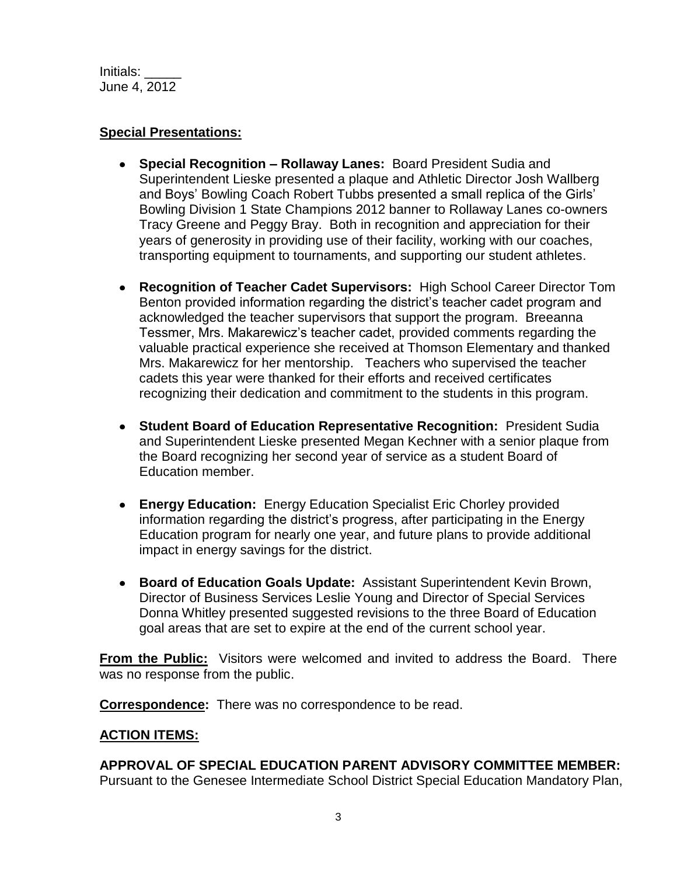# **Special Presentations:**

- **Special Recognition – Rollaway Lanes:** Board President Sudia and Superintendent Lieske presented a plaque and Athletic Director Josh Wallberg and Boys' Bowling Coach Robert Tubbs presented a small replica of the Girls' Bowling Division 1 State Champions 2012 banner to Rollaway Lanes co-owners Tracy Greene and Peggy Bray. Both in recognition and appreciation for their years of generosity in providing use of their facility, working with our coaches, transporting equipment to tournaments, and supporting our student athletes.
- **Recognition of Teacher Cadet Supervisors:** High School Career Director Tom Benton provided information regarding the district's teacher cadet program and acknowledged the teacher supervisors that support the program. Breeanna Tessmer, Mrs. Makarewicz's teacher cadet, provided comments regarding the valuable practical experience she received at Thomson Elementary and thanked Mrs. Makarewicz for her mentorship. Teachers who supervised the teacher cadets this year were thanked for their efforts and received certificates recognizing their dedication and commitment to the students in this program.
- **Student Board of Education Representative Recognition:** President Sudia and Superintendent Lieske presented Megan Kechner with a senior plaque from the Board recognizing her second year of service as a student Board of Education member.
- **Energy Education:** Energy Education Specialist Eric Chorley provided information regarding the district's progress, after participating in the Energy Education program for nearly one year, and future plans to provide additional impact in energy savings for the district.
- **Board of Education Goals Update:** Assistant Superintendent Kevin Brown, Director of Business Services Leslie Young and Director of Special Services Donna Whitley presented suggested revisions to the three Board of Education goal areas that are set to expire at the end of the current school year.

**From the Public:** Visitors were welcomed and invited to address the Board. There was no response from the public.

**Correspondence:** There was no correspondence to be read.

# **ACTION ITEMS:**

**APPROVAL OF SPECIAL EDUCATION PARENT ADVISORY COMMITTEE MEMBER:**  Pursuant to the Genesee Intermediate School District Special Education Mandatory Plan,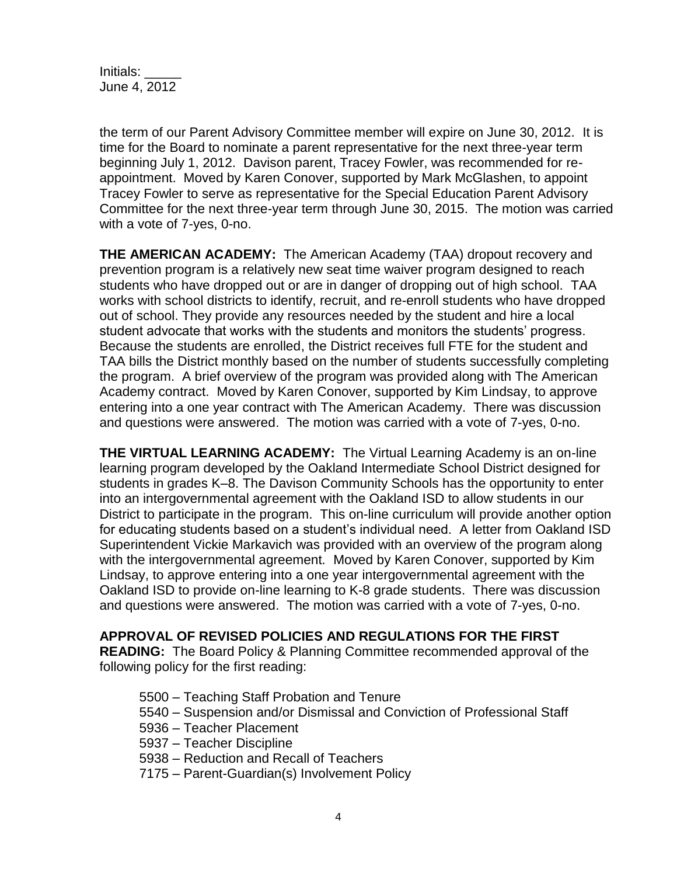the term of our Parent Advisory Committee member will expire on June 30, 2012. It is time for the Board to nominate a parent representative for the next three-year term beginning July 1, 2012. Davison parent, Tracey Fowler, was recommended for reappointment. Moved by Karen Conover, supported by Mark McGlashen, to appoint Tracey Fowler to serve as representative for the Special Education Parent Advisory Committee for the next three-year term through June 30, 2015. The motion was carried with a vote of 7-yes, 0-no.

**THE AMERICAN ACADEMY:** The American Academy (TAA) dropout recovery and prevention program is a relatively new seat time waiver program designed to reach students who have dropped out or are in danger of dropping out of high school. TAA works with school districts to identify, recruit, and re-enroll students who have dropped out of school. They provide any resources needed by the student and hire a local student advocate that works with the students and monitors the students' progress. Because the students are enrolled, the District receives full FTE for the student and TAA bills the District monthly based on the number of students successfully completing the program. A brief overview of the program was provided along with The American Academy contract. Moved by Karen Conover, supported by Kim Lindsay, to approve entering into a one year contract with The American Academy. There was discussion and questions were answered. The motion was carried with a vote of 7-yes, 0-no.

**THE VIRTUAL LEARNING ACADEMY:** The Virtual Learning Academy is an on-line learning program developed by the Oakland Intermediate School District designed for students in grades K–8. The Davison Community Schools has the opportunity to enter into an intergovernmental agreement with the Oakland ISD to allow students in our District to participate in the program. This on-line curriculum will provide another option for educating students based on a student's individual need. A letter from Oakland ISD Superintendent Vickie Markavich was provided with an overview of the program along with the intergovernmental agreement*.* Moved by Karen Conover, supported by Kim Lindsay, to approve entering into a one year intergovernmental agreement with the Oakland ISD to provide on-line learning to K-8 grade students. There was discussion and questions were answered. The motion was carried with a vote of 7-yes, 0-no.

# **APPROVAL OF REVISED POLICIES AND REGULATIONS FOR THE FIRST**

**READING:** The Board Policy & Planning Committee recommended approval of the following policy for the first reading:

- 5500 Teaching Staff Probation and Tenure
- 5540 Suspension and/or Dismissal and Conviction of Professional Staff
- 5936 Teacher Placement
- 5937 Teacher Discipline
- 5938 Reduction and Recall of Teachers
- 7175 Parent-Guardian(s) Involvement Policy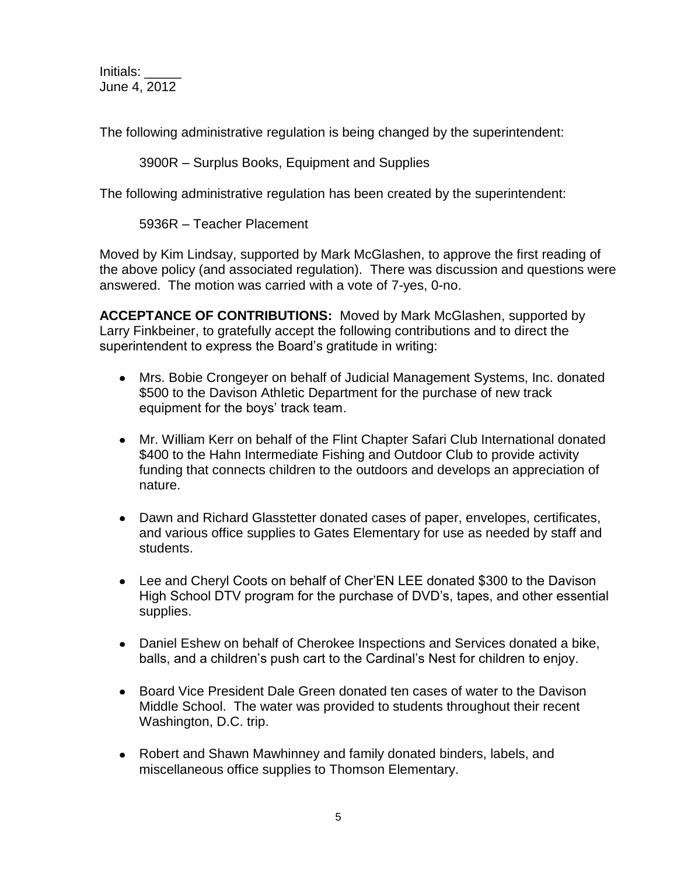The following administrative regulation is being changed by the superintendent:

3900R – Surplus Books, Equipment and Supplies

The following administrative regulation has been created by the superintendent:

5936R – Teacher Placement

Moved by Kim Lindsay, supported by Mark McGlashen, to approve the first reading of the above policy (and associated regulation). There was discussion and questions were answered. The motion was carried with a vote of 7-yes, 0-no.

**ACCEPTANCE OF CONTRIBUTIONS:** Moved by Mark McGlashen, supported by Larry Finkbeiner, to gratefully accept the following contributions and to direct the superintendent to express the Board's gratitude in writing:

- Mrs. Bobie Crongeyer on behalf of Judicial Management Systems, Inc. donated \$500 to the Davison Athletic Department for the purchase of new track equipment for the boys' track team.
- Mr. William Kerr on behalf of the Flint Chapter Safari Club International donated \$400 to the Hahn Intermediate Fishing and Outdoor Club to provide activity funding that connects children to the outdoors and develops an appreciation of nature.
- Dawn and Richard Glasstetter donated cases of paper, envelopes, certificates, and various office supplies to Gates Elementary for use as needed by staff and students.
- Lee and Cheryl Coots on behalf of Cher'EN LEE donated \$300 to the Davison High School DTV program for the purchase of DVD's, tapes, and other essential supplies.
- Daniel Eshew on behalf of Cherokee Inspections and Services donated a bike, balls, and a children's push cart to the Cardinal's Nest for children to enjoy.
- Board Vice President Dale Green donated ten cases of water to the Davison Middle School. The water was provided to students throughout their recent Washington, D.C. trip.
- Robert and Shawn Mawhinney and family donated binders, labels, and miscellaneous office supplies to Thomson Elementary.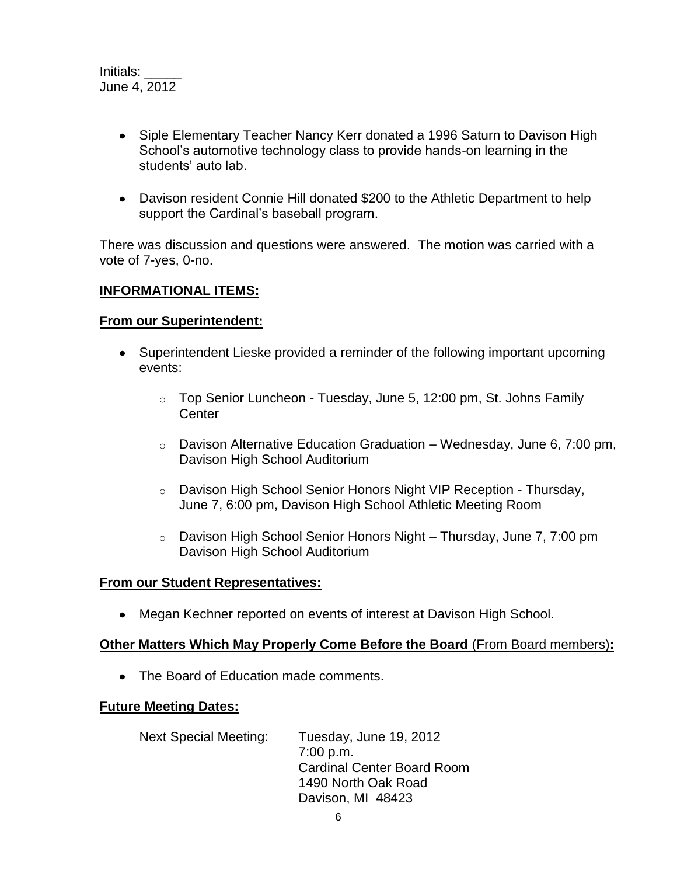- Siple Elementary Teacher Nancy Kerr donated a 1996 Saturn to Davison High School's automotive technology class to provide hands-on learning in the students' auto lab.
- Davison resident Connie Hill donated \$200 to the Athletic Department to help support the Cardinal's baseball program.

There was discussion and questions were answered.The motion was carried with a vote of 7-yes, 0-no.

# **INFORMATIONAL ITEMS:**

# **From our Superintendent:**

- Superintendent Lieske provided a reminder of the following important upcoming events:
	- $\circ$  Top Senior Luncheon Tuesday, June 5, 12:00 pm, St. Johns Family **Center**
	- $\circ$  Davison Alternative Education Graduation Wednesday, June 6, 7:00 pm, Davison High School Auditorium
	- o Davison High School Senior Honors Night VIP Reception Thursday, June 7, 6:00 pm, Davison High School Athletic Meeting Room
	- o Davison High School Senior Honors Night Thursday, June 7, 7:00 pm Davison High School Auditorium

# **From our Student Representatives:**

Megan Kechner reported on events of interest at Davison High School.

# **Other Matters Which May Properly Come Before the Board** (From Board members)**:**

• The Board of Education made comments.

#### **Future Meeting Dates:**

Next Special Meeting: Tuesday, June 19, 2012 7:00 p.m. Cardinal Center Board Room 1490 North Oak Road Davison, MI 48423